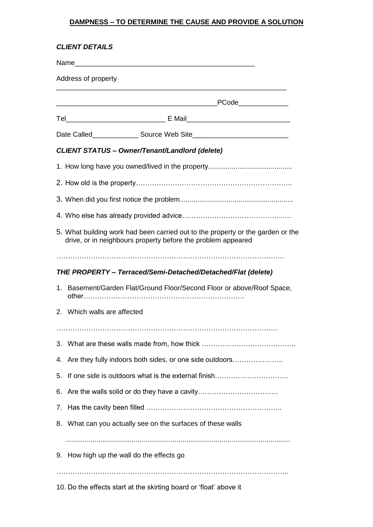## **DAMPNESS – TO DETERMINE THE CAUSE AND PROVIDE A SOLUTION**

| <b>CLIENT DETAILS</b> |                                                                                                                                                 |
|-----------------------|-------------------------------------------------------------------------------------------------------------------------------------------------|
|                       |                                                                                                                                                 |
|                       |                                                                                                                                                 |
|                       |                                                                                                                                                 |
|                       |                                                                                                                                                 |
|                       | <b>CLIENT STATUS - Owner/Tenant/Landlord (delete)</b>                                                                                           |
|                       |                                                                                                                                                 |
|                       |                                                                                                                                                 |
|                       |                                                                                                                                                 |
|                       |                                                                                                                                                 |
|                       | 5. What building work had been carried out to the property or the garden or the<br>drive, or in neighbours property before the problem appeared |
|                       |                                                                                                                                                 |
|                       | THE PROPERTY - Terraced/Semi-Detached/Detached/Flat (delete)                                                                                    |
| 1.                    | Basement/Garden Flat/Ground Floor/Second Floor or above/Roof Space,                                                                             |
|                       | 2. Which walls are affected                                                                                                                     |
|                       |                                                                                                                                                 |
|                       |                                                                                                                                                 |
| 4.                    | Are they fully indoors both sides, or one side outdoors                                                                                         |
| 5.                    |                                                                                                                                                 |
| 6.                    |                                                                                                                                                 |
| 7.                    |                                                                                                                                                 |
|                       | 8. What can you actually see on the surfaces of these walls                                                                                     |
|                       | 9. How high up the wall do the effects go                                                                                                       |
|                       | 10. Do the effects start at the skirting board or 'float' above it                                                                              |